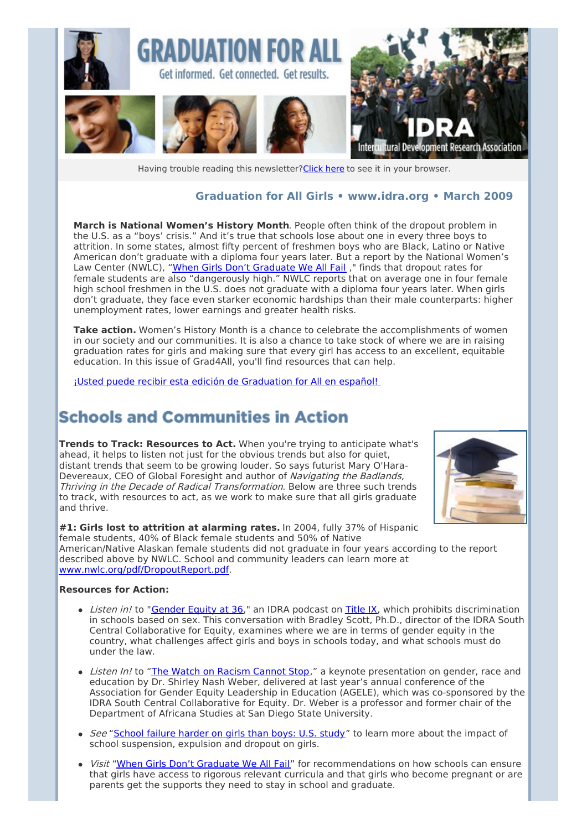

Having trouble reading this newsletter? Click here to see it in your browser.

### **Graduation for All Girls • [www.idra.org](http://idra.createsend1.com/t/1/l/julhdy/l/www.idra.org) • March 2009**

**March is National Women's History Month**. People often think of the dropout problem in the U.S. as a "boys' crisis." And it's true that schools lose about one in every three boys to attrition. In some states, almost fifty percent of freshmen boys who are Black, Latino or Native American don't graduate with a diploma four years later. But a report by the National Women's Law Center (NWLC), "When Girls Don't [Graduate](http://idra.createsend1.com/t/r/l/julhdy/l/r) We All Fail ," finds that dropout rates for female students are also "dangerously high." NWLC reports that on average one in four female high school freshmen in the U.S. does not graduate with a diploma four years later. When girls don't graduate, they face even starker economic hardships than their male counterparts: higher unemployment rates, lower earnings and greater health risks.

**Take action.** Women's History Month is a chance to celebrate the accomplishments of women in our society and our communities. It is also a chance to take stock of where we are in raising graduation rates for girls and making sure that every girl has access to an excellent, equitable education. In this issue of Grad4All, you'll find resources that can help.

¡Usted puede recibir esta edición de [Graduation](http://idra.createsend1.com/t/r/l/julhdy/l/y) for All en español!

## **Schools and Communities in Action**

**Trends to Track: Resources to Act.** When you're trying to anticipate what's ahead, it helps to listen not just for the obvious trends but also for quiet, distant trends that seem to be growing louder. So says futurist Mary O'Hara-Devereaux, CEO of Global Foresight and author of Navigating the Badlands, Thriving in the Decade of Radical Transformation. Below are three such trends to track, with resources to act, as we work to make sure that all girls graduate and thrive.



**#1: Girls lost to attrition at alarming rates.** In 2004, fully 37% of Hispanic female students, 40% of Black female students and 50% of Native American/Native Alaskan female students did not graduate in four years according to the report described above by NWLC. School and community leaders can learn more at [www.nwlc.org/pdf/DropoutReport.pdf](http://idra.createsend1.com/t/r/l/julhdy/l/j).

#### **Resources for Action:**

- Listen in! to ["Gender](http://idra.createsend1.com/t/r/l/julhdy/l/t) Equity at 36," an IDRA podcast on [Title](http://idra.createsend1.com/t/r/l/julhdy/l/i) IX, which prohibits discrimination in schools based on sex. This conversation with Bradley Scott, Ph.D., director of the IDRA South Central Collaborative for Equity, examines where we are in terms of gender equity in the country, what challenges affect girls and boys in schools today, and what schools must do under the law.
- Listen In! to "The Watch on [Racism](http://idra.createsend1.com/t/r/l/julhdy/l/d) Cannot Stop," a keynote presentation on gender, race and education by Dr. Shirley Nash Weber, delivered at last year's annual conference of the Association for Gender Equity Leadership in Education (AGELE), which was co-sponsored by the IDRA South Central Collaborative for Equity. Dr. Weber is a professor and former chair of the Department of Africana Studies at San Diego State University.
- See ["School](http://idra.createsend1.com/t/r/l/julhdy/l/h) failure harder on girls than boys: U.S. study" to learn more about the impact of school suspension, expulsion and dropout on girls.
- Visit "When Girls Don't [Graduate](http://idra.createsend1.com/t/r/l/julhdy/l/k) We All Fail" for recommendations on how schools can ensure that girls have access to rigorous relevant curricula and that girls who become pregnant or are parents get the supports they need to stay in school and graduate.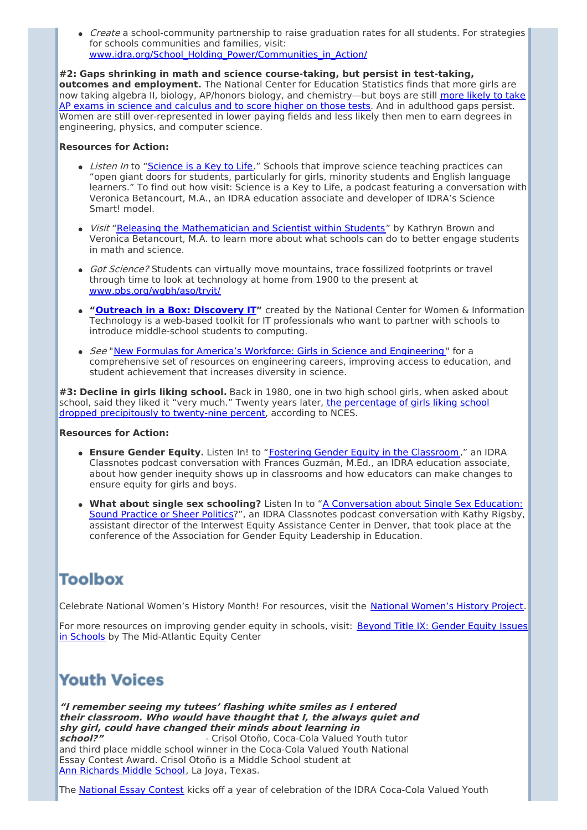• *Create* a school-community partnership to raise graduation rates for all students. For strategies for schools communities and families, visit: [www.idra.org/School\\_Holding\\_Power/Communities\\_in\\_Action/](http://idra.createsend1.com/t/r/l/julhdy/l/u)

**#2: Gaps shrinking in math and science course-taking, but persist in test-taking, outcomes and employment.** The National Center for Education Statistics finds that more girls are now taking algebra II, biology, AP/honors biology, and [chemistry—but](http://idra.createsend1.com/t/r/l/julhdy/l/o) boys are still more likely to take AP exams in science and calculus and to score higher on those tests. And in adulthood gaps persist. Women are still over-represented in lower paying fields and less likely then men to earn degrees in engineering, physics, and computer science.

### **Resources for Action:**

- Listen In to ["Science](http://idra.createsend1.com/t/r/l/julhdy/l/b) is a Key to Life." Schools that improve science teaching practices can "open giant doors for students, particularly for girls, minority students and English language learners." To find out how visit: Science is a Key to Life, a podcast featuring a conversation with Veronica Betancourt, M.A., an IDRA education associate and developer of IDRA's Science Smart! model.
- Visit "Releasing the [Mathematician](http://idra.createsend1.com/t/r/l/julhdy/l/n) and Scientist within Students" by Kathryn Brown and Veronica Betancourt, M.A. to learn more about what schools can do to better engage students in math and science.
- Got Science? Students can virtually move mountains, trace fossilized footprints or travel through time to look at technology at home from 1900 to the present at [www.pbs.org/wgbh/aso/tryit/](http://idra.createsend1.com/t/r/l/julhdy/l/p)
- **"Outreach in a Box: [Discovery](http://idra.createsend1.com/t/r/l/julhdy/l/x) IT"** created by the National Center for Women & Information Technology is a web-based toolkit for IT professionals who want to partner with schools to introduce middle-school students to computing.
- See "New Formulas for America's Workforce: Girls in Science and [Engineering](http://idra.createsend1.com/t/r/l/julhdy/l/m) " for a comprehensive set of resources on engineering careers, improving access to education, and student achievement that increases diversity in science.

**#3: Decline in girls liking school.** Back in 1980, one in two high school girls, when asked about school, said they liked it "very much." Twenty years later, the percentage of girls liking school dropped [precipitously](http://idra.createsend1.com/t/r/l/julhdy/l/c) to twenty-nine percent, according to NCES.

#### **Resources for Action:**

- **Ensure Gender Equity.** Listen In! to "Fostering Gender Equity in the [Classroom](http://idra.createsend1.com/t/r/l/julhdy/l/q)," an IDRA Classnotes podcast conversation with Frances Guzmán, M.Ed., an IDRA education associate, about how gender inequity shows up in classrooms and how educators can make changes to ensure equity for girls and boys.
- **What about single sex schooling?** Listen In to "A [Conversation](http://idra.createsend1.com/t/r/l/julhdy/l/a) about Single Sex Education: Sound Practice or Sheer Politics?", an IDRA Classnotes podcast conversation with Kathy Rigsby, assistant director of the Interwest Equity Assistance Center in Denver, that took place at the conference of the Association for Gender Equity Leadership in Education.

## **Toolbox**

Celebrate National [Women's](http://idra.createsend1.com/t/r/l/julhdy/l/f) History Month! For resources, visit the National Women's History Project.

For more resources on improving gender equity in schools, visit: Beyond Title IX: Gender Equity Issues in Schools by The [Mid-Atlantic](http://idra.createsend1.com/t/r/l/julhdy/l/z) Equity Center

# **Youth Voices**

**"I remember seeing my tutees' flashing white smiles as I entered their classroom. Who would have thought that I, the always quiet and shy girl, could have changed their minds about learning in school?"** - Crisol Otoño, Coca-Cola Valued Youth tutor and third place middle school winner in the Coca-Cola Valued Youth National Essay Contest Award. Crisol Otoño is a Middle School student at Ann [Richards](http://idra.createsend1.com/t/r/l/julhdy/l/v) Middle School, La Joya, Texas.

The [National](http://idra.createsend1.com/t/r/l/julhdy/l/e) Essay Contest kicks off a year of celebration of the IDRA Coca-Cola Valued Youth